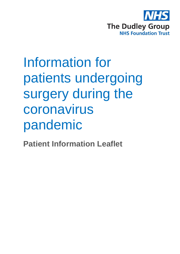

## Information for patients undergoing surgery during the coronavirus pandemic

**Patient Information Leaflet**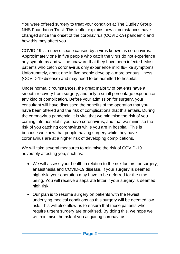You were offered surgery to treat your condition at The Dudley Group NHS Foundation Trust. This leaflet explains how circumstances have changed since the onset of the coronavirus (COVID-19) pandemic and how this may affect you.

COVID-19 is a new disease caused by a virus known as coronavirus. Approximately one in five people who catch the virus do not experience any symptoms and will be unaware that they have been infected. Most patients who catch coronavirus only experience mild flu-like symptoms. Unfortunately, about one in five people develop a more serious illness (COVID-19 disease) and may need to be admitted to hospital.

Under normal circumstances, the great majority of patients have a smooth recovery from surgery, and only a small percentage experience any kind of complication. Before your admission for surgery, your consultant will have discussed the benefits of the operation that you have been offered and the risk of complications that this entails. During the coronavirus pandemic, it is vital that we minimise the risk of you coming into hospital if you have coronavirus, and that we minimise the risk of you catching coronavirus while you are in hospital. This is because we know that people having surgery while they have coronavirus are at a higher risk of developing complications.

We will take several measures to minimise the risk of COVID-19 adversely affecting you, such as:

- We will assess your health in relation to the risk factors for surgery, anaesthesia and COVID-19 disease. If your surgery is deemed high risk, your operation may have to be deferred for the time being. You will receive a separate letter if your surgery is deemed high risk.
- Our plan is to resume surgery on patients with the fewest underlying medical conditions as this surgery will be deemed low risk. This will also allow us to ensure that those patients who require urgent surgery are prioritised. By doing this, we hope we will minimise the risk of you acquiring coronavirus.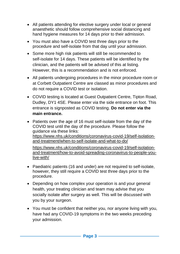- All patients attending for elective surgery under local or general anaesthetic should follow comprehensive social distancing and hand hygiene measures for 14 days prior to their admission.
- You must also have a COVID test three days prior to the procedure and self-isolate from that day until your admission.
- Some more high risk patients will still be recommended to self-isolate for 14 days. These patients will be identified by the clinician, and the patients will be advised of this at listing. However, this is a recommendation and is not enforced.
- All patients undergoing procedures in the minor procedure room or at Corbett Outpatient Centre are classed as minor procedures and do not require a COVID test or isolation.
- COVID testing is located at Guest Outpatient Centre, Tipton Road, Dudley, DY1 4SE. Please enter via the side entrance on foot. This entrance is signposted as COVID testing. **Do not enter via the main entrance.**
- Patients over the age of 16 must self-isolate from the day of the COVID test until the day of the procedure. Please follow the guidance via these links: [https://www.nhs.uk/conditions/coronavirus-covid-19/self-isolation](https://www.nhs.uk/conditions/coronavirus-covid-19/self-isolation-and-treatment/when-to-self-isolate-and-what-to-do/)[and-treatment/when-to-self-isolate-and-what-to-do/](https://www.nhs.uk/conditions/coronavirus-covid-19/self-isolation-and-treatment/when-to-self-isolate-and-what-to-do/) [https://www.nhs.uk/conditions/coronavirus-covid-19/self-isolation](https://www.nhs.uk/conditions/coronavirus-covid-19/self-isolation-and-treatment/how-to-avoid-spreading-coronavirus-to-people-you-live-with/)[and-treatment/how-to-avoid-spreading-coronavirus-to-people-you](https://www.nhs.uk/conditions/coronavirus-covid-19/self-isolation-and-treatment/how-to-avoid-spreading-coronavirus-to-people-you-live-with/)[live-with/](https://www.nhs.uk/conditions/coronavirus-covid-19/self-isolation-and-treatment/how-to-avoid-spreading-coronavirus-to-people-you-live-with/)
- Paediatric patients (16 and under) are not required to self-isolate, however, they still require a COVID test three days prior to the procedure.
- Depending on how complex your operation is and your general health, your treating clinician and team may advise that you socially isolate after surgery as well. This will be discussed with you by your surgeon.
- You must be confident that neither you, nor anyone living with you, have had any COVID-19 symptoms in the two weeks preceding your admission.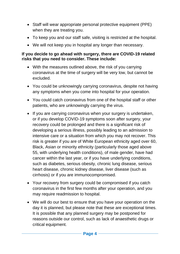- Staff will wear appropriate personal protective equipment (PPE) when they are treating you.
- To keep you and our staff safe, visiting is restricted at the hospital.
- We will not keep you in hospital any longer than necessary.

## **If you decide to go ahead with surgery, there are COVID-19 related risks that you need to consider. These include:**

- With the measures outlined above, the risk of you carrying coronavirus at the time of surgery will be very low, but cannot be excluded.
- You could be unknowingly carrying coronavirus, despite not having any symptoms when you come into hospital for your operation.
- You could catch coronavirus from one of the hospital staff or other patients, who are unknowingly carrying the virus.
- If you are carrying coronavirus when your surgery is undertaken, or if you develop COVID-19 symptoms soon after surgery, your recovery could be prolonged and there is a significant risk of developing a serious illness, possibly leading to an admission to intensive care or a situation from which you may not recover. This risk is greater if you are of White European ethnicity aged over 60, Black, Asian or minority ethnicity (particularly those aged above 55, with underlying health conditions), of male gender, have had cancer within the last year, or if you have underlying conditions, such as diabetes, serious obesity, chronic lung disease, serious heart disease, chronic kidney disease, liver disease (such as cirrhosis) or if you are immunocompromised.
- Your recovery from surgery could be compromised if you catch coronavirus in the first few months after your operation, and you may require readmission to hospital.
- We will do our best to ensure that you have your operation on the day it is planned, but please note that these are exceptional times. It is possible that any planned surgery may be postponed for reasons outside our control, such as lack of anaesthetic drugs or critical equipment.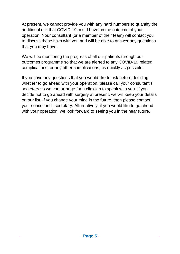At present, we cannot provide you with any hard numbers to quantify the additional risk that COVID-19 could have on the outcome of your operation. Your consultant (or a member of their team) will contact you to discuss these risks with you and will be able to answer any questions that you may have.

We will be monitoring the progress of all our patients through our outcomes programme so that we are alerted to any COVID-19 related complications, or any other complications, as quickly as possible.

If you have any questions that you would like to ask before deciding whether to go ahead with your operation, please call your consultant's secretary so we can arrange for a clinician to speak with you. If you decide not to go ahead with surgery at present, we will keep your details on our list. If you change your mind in the future, then please contact your consultant's secretary. Alternatively, if you would like to go ahead with your operation, we look forward to seeing you in the near future.